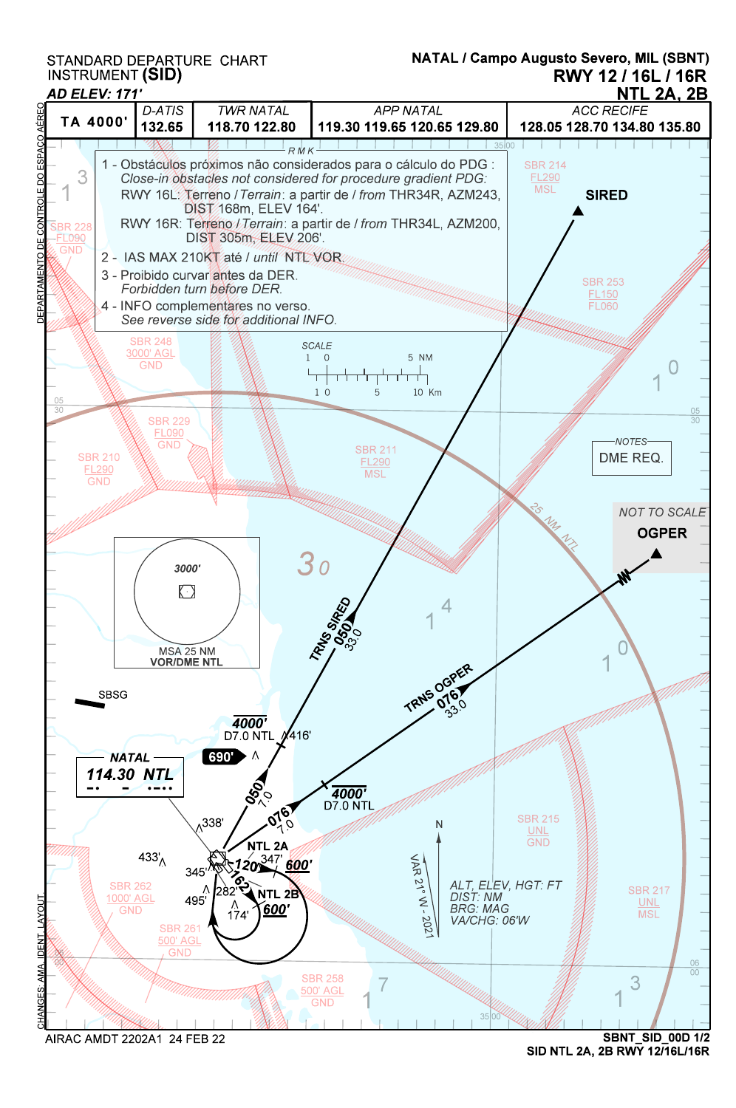STANDARD DEPARTURE CHART INSTRUMENT (SID)



SID NTL 2A, 2B RWY 12/16L/16R